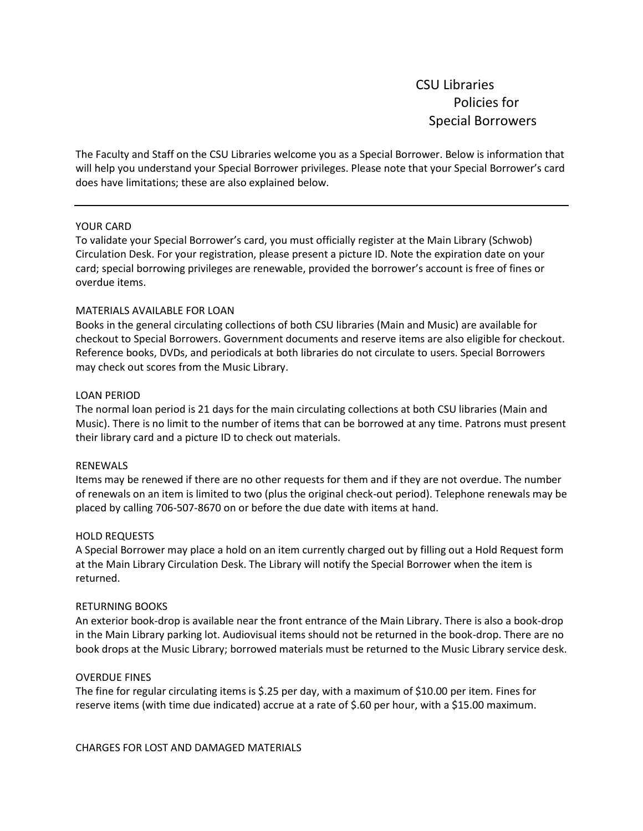CSU Libraries Policies for Special Borrowers

The Faculty and Staff on the CSU Libraries welcome you as a Special Borrower. Below is information that will help you understand your Special Borrower privileges. Please note that your Special Borrower's card does have limitations; these are also explained below.

# YOUR CARD

To validate your Special Borrower's card, you must officially register at the Main Library (Schwob) Circulation Desk. For your registration, please present a picture ID. Note the expiration date on your card; special borrowing privileges are renewable, provided the borrower's account is free of fines or overdue items.

# MATERIALS AVAILABLE FOR LOAN

Books in the general circulating collections of both CSU libraries (Main and Music) are available for checkout to Special Borrowers. Government documents and reserve items are also eligible for checkout. Reference books, DVDs, and periodicals at both libraries do not circulate to users. Special Borrowers may check out scores from the Music Library.

## LOAN PERIOD

The normal loan period is 21 days for the main circulating collections at both CSU libraries (Main and Music). There is no limit to the number of items that can be borrowed at any time. Patrons must present their library card and a picture ID to check out materials.

## RENEWALS

Items may be renewed if there are no other requests for them and if they are not overdue. The number of renewals on an item is limited to two (plus the original check-out period). Telephone renewals may be placed by calling 706-507-8670 on or before the due date with items at hand.

#### HOLD REQUESTS

A Special Borrower may place a hold on an item currently charged out by filling out a Hold Request form at the Main Library Circulation Desk. The Library will notify the Special Borrower when the item is returned.

### RETURNING BOOKS

An exterior book-drop is available near the front entrance of the Main Library. There is also a book-drop in the Main Library parking lot. Audiovisual items should not be returned in the book-drop. There are no book drops at the Music Library; borrowed materials must be returned to the Music Library service desk.

## OVERDUE FINES

The fine for regular circulating items is \$.25 per day, with a maximum of \$10.00 per item. Fines for reserve items (with time due indicated) accrue at a rate of \$.60 per hour, with a \$15.00 maximum.

CHARGES FOR LOST AND DAMAGED MATERIALS